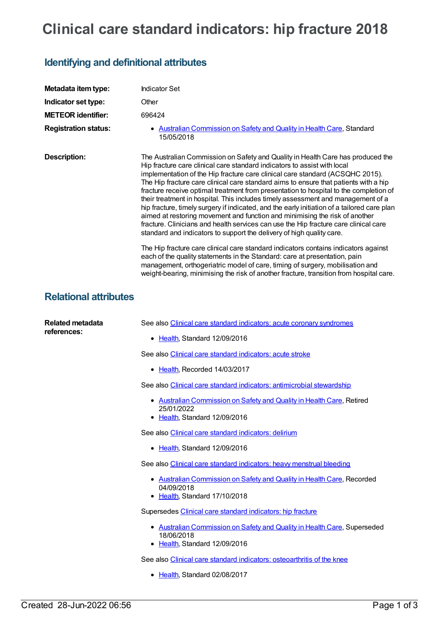## **Clinical care standard indicators: hip fracture 2018**

## **Identifying and definitional attributes**

| Metadata item type:          |                                                                                                                                                                                                                                                                                                                                                                                                                                                                                                                                                                                                                                                                                                                                                                                                                                                                  |
|------------------------------|------------------------------------------------------------------------------------------------------------------------------------------------------------------------------------------------------------------------------------------------------------------------------------------------------------------------------------------------------------------------------------------------------------------------------------------------------------------------------------------------------------------------------------------------------------------------------------------------------------------------------------------------------------------------------------------------------------------------------------------------------------------------------------------------------------------------------------------------------------------|
|                              | <b>Indicator Set</b>                                                                                                                                                                                                                                                                                                                                                                                                                                                                                                                                                                                                                                                                                                                                                                                                                                             |
| Indicator set type:          | Other                                                                                                                                                                                                                                                                                                                                                                                                                                                                                                                                                                                                                                                                                                                                                                                                                                                            |
| <b>METEOR identifier:</b>    | 696424                                                                                                                                                                                                                                                                                                                                                                                                                                                                                                                                                                                                                                                                                                                                                                                                                                                           |
| <b>Registration status:</b>  | • Australian Commission on Safety and Quality in Health Care, Standard<br>15/05/2018                                                                                                                                                                                                                                                                                                                                                                                                                                                                                                                                                                                                                                                                                                                                                                             |
| <b>Description:</b>          | The Australian Commission on Safety and Quality in Health Care has produced the<br>Hip fracture care clinical care standard indicators to assist with local<br>implementation of the Hip fracture care clinical care standard (ACSQHC 2015).<br>The Hip fracture care clinical care standard aims to ensure that patients with a hip<br>fracture receive optimal treatment from presentation to hospital to the completion of<br>their treatment in hospital. This includes timely assessment and management of a<br>hip fracture, timely surgery if indicated, and the early initiation of a tailored care plan<br>aimed at restoring movement and function and minimising the risk of another<br>fracture. Clinicians and health services can use the Hip fracture care clinical care<br>standard and indicators to support the delivery of high quality care. |
|                              | The Hip fracture care clinical care standard indicators contains indicators against<br>each of the quality statements in the Standard: care at presentation, pain<br>management, orthogeriatric model of care, timing of surgery, mobilisation and<br>weight-bearing, minimising the risk of another fracture, transition from hospital care.                                                                                                                                                                                                                                                                                                                                                                                                                                                                                                                    |
| <b>Relational attributes</b> |                                                                                                                                                                                                                                                                                                                                                                                                                                                                                                                                                                                                                                                                                                                                                                                                                                                                  |
| <b>Related metadata</b>      | See also Clinical care standard indicators: acute coronary syndromes                                                                                                                                                                                                                                                                                                                                                                                                                                                                                                                                                                                                                                                                                                                                                                                             |
| references:                  | • Health, Standard 12/09/2016                                                                                                                                                                                                                                                                                                                                                                                                                                                                                                                                                                                                                                                                                                                                                                                                                                    |
|                              | See also Clinical care standard indicators: acute stroke                                                                                                                                                                                                                                                                                                                                                                                                                                                                                                                                                                                                                                                                                                                                                                                                         |
|                              | • Health, Recorded 14/03/2017                                                                                                                                                                                                                                                                                                                                                                                                                                                                                                                                                                                                                                                                                                                                                                                                                                    |
|                              | See also Clinical care standard indicators: antimicrobial stewardship                                                                                                                                                                                                                                                                                                                                                                                                                                                                                                                                                                                                                                                                                                                                                                                            |
|                              | • Australian Commission on Safety and Quality in Health Care, Retired<br>25/01/2022<br>• Health, Standard 12/09/2016                                                                                                                                                                                                                                                                                                                                                                                                                                                                                                                                                                                                                                                                                                                                             |
|                              | See also Clinical care standard indicators: delirium                                                                                                                                                                                                                                                                                                                                                                                                                                                                                                                                                                                                                                                                                                                                                                                                             |
|                              | • Health, Standard 12/09/2016                                                                                                                                                                                                                                                                                                                                                                                                                                                                                                                                                                                                                                                                                                                                                                                                                                    |
|                              | See also Clinical care standard indicators: heavy menstrual bleeding                                                                                                                                                                                                                                                                                                                                                                                                                                                                                                                                                                                                                                                                                                                                                                                             |
|                              | • Australian Commission on Safety and Quality in Health Care, Recorded<br>04/09/2018<br>• Health, Standard 17/10/2018                                                                                                                                                                                                                                                                                                                                                                                                                                                                                                                                                                                                                                                                                                                                            |
|                              | Supersedes Clinical care standard indicators: hip fracture                                                                                                                                                                                                                                                                                                                                                                                                                                                                                                                                                                                                                                                                                                                                                                                                       |
|                              | • Australian Commission on Safety and Quality in Health Care, Superseded<br>18/06/2018<br>• Health, Standard 12/09/2016                                                                                                                                                                                                                                                                                                                                                                                                                                                                                                                                                                                                                                                                                                                                          |

See also Clinical care standard indicators: [osteoarthritis](https://meteor.aihw.gov.au/content/644256) of the knee

• [Health](https://meteor.aihw.gov.au/RegistrationAuthority/12), Standard 02/08/2017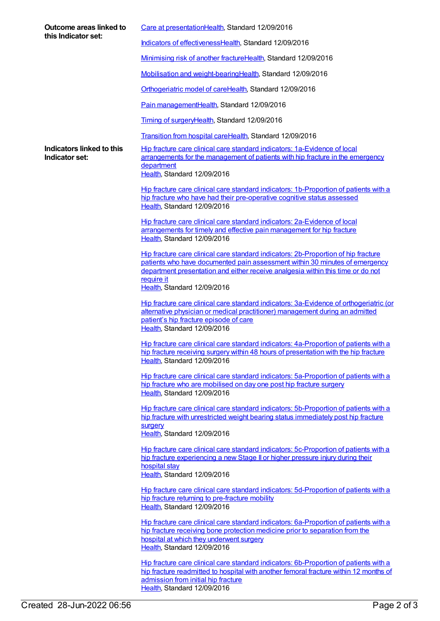| Outcome areas linked to<br>this Indicator set: | Care at presentationHealth, Standard 12/09/2016                                                                                                                                                                                                                                                   |
|------------------------------------------------|---------------------------------------------------------------------------------------------------------------------------------------------------------------------------------------------------------------------------------------------------------------------------------------------------|
|                                                | Indicators of effectivenessHealth, Standard 12/09/2016                                                                                                                                                                                                                                            |
|                                                | Minimising risk of another fractureHealth, Standard 12/09/2016                                                                                                                                                                                                                                    |
|                                                | Mobilisation and weight-bearingHealth, Standard 12/09/2016                                                                                                                                                                                                                                        |
|                                                | Orthogeriatric model of careHealth, Standard 12/09/2016                                                                                                                                                                                                                                           |
|                                                | Pain managementHealth, Standard 12/09/2016                                                                                                                                                                                                                                                        |
|                                                | Timing of surgeryHealth, Standard 12/09/2016                                                                                                                                                                                                                                                      |
|                                                | Transition from hospital careHealth, Standard 12/09/2016                                                                                                                                                                                                                                          |
| Indicators linked to this<br>Indicator set:    | Hip fracture care clinical care standard indicators: 1a-Evidence of local<br>arrangements for the management of patients with hip fracture in the emergency<br>department<br>Health, Standard 12/09/2016                                                                                          |
|                                                | Hip fracture care clinical care standard indicators: 1b-Proportion of patients with a<br>hip fracture who have had their pre-operative cognitive status assessed<br>Health, Standard 12/09/2016                                                                                                   |
|                                                | Hip fracture care clinical care standard indicators: 2a-Evidence of local<br>arrangements for timely and effective pain management for hip fracture<br>Health, Standard 12/09/2016                                                                                                                |
|                                                | Hip fracture care clinical care standard indicators: 2b-Proportion of hip fracture<br>patients who have documented pain assessment within 30 minutes of emergency<br>department presentation and either receive analgesia within this time or do not<br>require it<br>Health, Standard 12/09/2016 |
|                                                | Hip fracture care clinical care standard indicators: 3a-Evidence of orthogeriatric (or<br>alternative physician or medical practitioner) management during an admitted<br>patient's hip fracture episode of care<br>Health, Standard 12/09/2016                                                   |
|                                                | Hip fracture care clinical care standard indicators: 4a-Proportion of patients with a<br>hip fracture receiving surgery within 48 hours of presentation with the hip fracture<br>Health, Standard 12/09/2016                                                                                      |
|                                                | Hip fracture care clinical care standard indicators: 5a-Proportion of patients with a<br>hip fracture who are mobilised on day one post hip fracture surgery<br>Health, Standard 12/09/2016                                                                                                       |
|                                                | Hip fracture care clinical care standard indicators: 5b-Proportion of patients with a<br>hip fracture with unrestricted weight bearing status immediately post hip fracture<br>surgery<br>Health, Standard 12/09/2016                                                                             |
|                                                | Hip fracture care clinical care standard indicators: 5c-Proportion of patients with a<br>hip fracture experiencing a new Stage II or higher pressure injury during their<br>hospital stay<br>Health, Standard 12/09/2016                                                                          |
|                                                | Hip fracture care clinical care standard indicators: 5d-Proportion of patients with a<br>hip fracture returning to pre-fracture mobility<br>Health, Standard 12/09/2016                                                                                                                           |
|                                                | Hip fracture care clinical care standard indicators: 6a-Proportion of patients with a<br>hip fracture receiving bone protection medicine prior to separation from the<br>hospital at which they underwent surgery<br>Health, Standard 12/09/2016                                                  |
|                                                | Hip fracture care clinical care standard indicators: 6b-Proportion of patients with a<br>hip fracture readmitted to hospital with another femoral fracture within 12 months of<br>admission from initial hip fracture                                                                             |

[Health](https://meteor.aihw.gov.au/RegistrationAuthority/12), Standard 12/09/2016